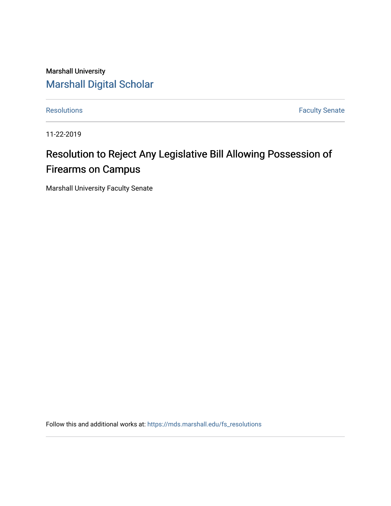Marshall University [Marshall Digital Scholar](https://mds.marshall.edu/)

[Resolutions](https://mds.marshall.edu/fs_resolutions) **Faculty Senate** 

11-22-2019

## Resolution to Reject Any Legislative Bill Allowing Possession of Firearms on Campus

Marshall University Faculty Senate

Follow this and additional works at: [https://mds.marshall.edu/fs\\_resolutions](https://mds.marshall.edu/fs_resolutions?utm_source=mds.marshall.edu%2Ffs_resolutions%2F95&utm_medium=PDF&utm_campaign=PDFCoverPages)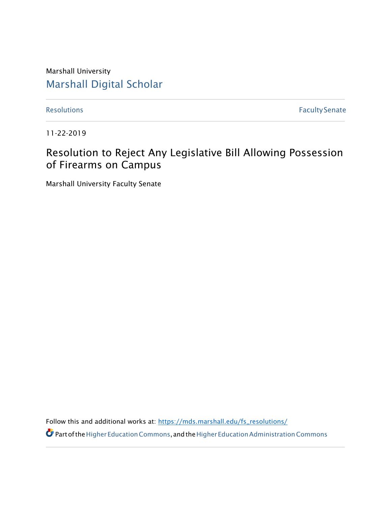Marshall University [Marshall Digital Scholar](https://mds.marshall.edu/)

[Resolutions](https://mds.marshall.edu/fs_recommendations) **Faculty Senate** 

11-22-2019

## Resolution to Reject Any Legislative Bill Allowing Possession of Firearms on Campus

Marshall University Faculty Senate

Follow this and additional works at: [https://mds.marshall.edu/fs\\_resolutions/](https://mds.marshall.edu/fs_resolutions/)

Partofthe [HigherEducationCommons,](http://network.bepress.com/hgg/discipline/1245?utm_source=mds.marshall.edu%2Ffs_recommendations%2F1912&utm_medium=PDF&utm_campaign=PDFCoverPages) andth[eHigherEducationAdministrationCommons](http://network.bepress.com/hgg/discipline/791?utm_source=mds.marshall.edu%2Ffs_recommendations%2F1912&utm_medium=PDF&utm_campaign=PDFCoverPages)